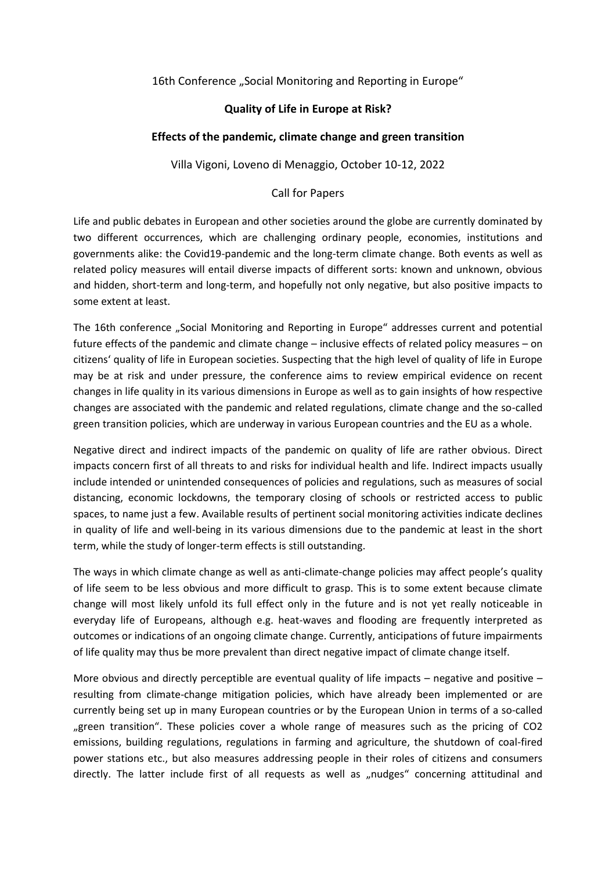## 16th Conference "Social Monitoring and Reporting in Europe"

## **Quality of Life in Europe at Risk?**

## **Effects of the pandemic, climate change and green transition**

Villa Vigoni, Loveno di Menaggio, October 10-12, 2022

## Call for Papers

Life and public debates in European and other societies around the globe are currently dominated by two different occurrences, which are challenging ordinary people, economies, institutions and governments alike: the Covid19-pandemic and the long-term climate change. Both events as well as related policy measures will entail diverse impacts of different sorts: known and unknown, obvious and hidden, short-term and long-term, and hopefully not only negative, but also positive impacts to some extent at least.

The 16th conference "Social Monitoring and Reporting in Europe" addresses current and potential future effects of the pandemic and climate change – inclusive effects of related policy measures – on citizens' quality of life in European societies. Suspecting that the high level of quality of life in Europe may be at risk and under pressure, the conference aims to review empirical evidence on recent changes in life quality in its various dimensions in Europe as well as to gain insights of how respective changes are associated with the pandemic and related regulations, climate change and the so-called green transition policies, which are underway in various European countries and the EU as a whole.

Negative direct and indirect impacts of the pandemic on quality of life are rather obvious. Direct impacts concern first of all threats to and risks for individual health and life. Indirect impacts usually include intended or unintended consequences of policies and regulations, such as measures of social distancing, economic lockdowns, the temporary closing of schools or restricted access to public spaces, to name just a few. Available results of pertinent social monitoring activities indicate declines in quality of life and well-being in its various dimensions due to the pandemic at least in the short term, while the study of longer-term effects is still outstanding.

The ways in which climate change as well as anti-climate-change policies may affect people's quality of life seem to be less obvious and more difficult to grasp. This is to some extent because climate change will most likely unfold its full effect only in the future and is not yet really noticeable in everyday life of Europeans, although e.g. heat-waves and flooding are frequently interpreted as outcomes or indications of an ongoing climate change. Currently, anticipations of future impairments of life quality may thus be more prevalent than direct negative impact of climate change itself.

More obvious and directly perceptible are eventual quality of life impacts – negative and positive – resulting from climate-change mitigation policies, which have already been implemented or are currently being set up in many European countries or by the European Union in terms of a so-called "green transition". These policies cover a whole range of measures such as the pricing of CO2 emissions, building regulations, regulations in farming and agriculture, the shutdown of coal-fired power stations etc., but also measures addressing people in their roles of citizens and consumers directly. The latter include first of all requests as well as "nudges" concerning attitudinal and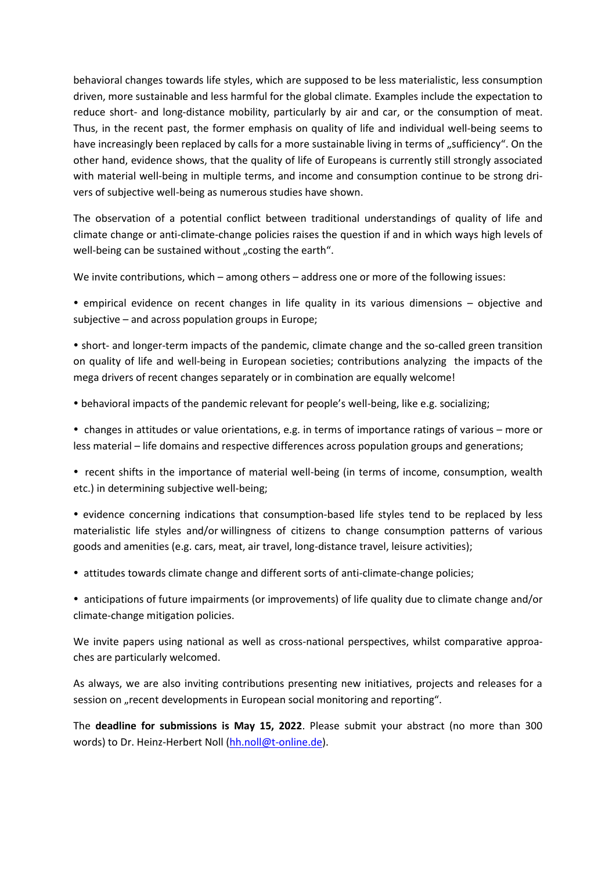behavioral changes towards life styles, which are supposed to be less materialistic, less consumption driven, more sustainable and less harmful for the global climate. Examples include the expectation to reduce short- and long-distance mobility, particularly by air and car, or the consumption of meat. Thus, in the recent past, the former emphasis on quality of life and individual well-being seems to have increasingly been replaced by calls for a more sustainable living in terms of "sufficiency". On the other hand, evidence shows, that the quality of life of Europeans is currently still strongly associated with material well-being in multiple terms, and income and consumption continue to be strong drivers of subjective well-being as numerous studies have shown.

The observation of a potential conflict between traditional understandings of quality of life and climate change or anti-climate-change policies raises the question if and in which ways high levels of well-being can be sustained without "costing the earth".

We invite contributions, which – among others – address one or more of the following issues:

 empirical evidence on recent changes in life quality in its various dimensions – objective and subjective – and across population groups in Europe;

 short- and longer-term impacts of the pandemic, climate change and the so-called green transition on quality of life and well-being in European societies; contributions analyzing the impacts of the mega drivers of recent changes separately or in combination are equally welcome!

behavioral impacts of the pandemic relevant for people's well-being, like e.g. socializing;

 changes in attitudes or value orientations, e.g. in terms of importance ratings of various – more or less material – life domains and respective differences across population groups and generations;

• recent shifts in the importance of material well-being (in terms of income, consumption, wealth etc.) in determining subjective well-being;

• evidence concerning indications that consumption-based life styles tend to be replaced by less materialistic life styles and/or willingness of citizens to change consumption patterns of various goods and amenities (e.g. cars, meat, air travel, long-distance travel, leisure activities);

attitudes towards climate change and different sorts of anti-climate-change policies;

 anticipations of future impairments (or improvements) of life quality due to climate change and/or climate-change mitigation policies.

We invite papers using national as well as cross-national perspectives, whilst comparative approaches are particularly welcomed.

As always, we are also inviting contributions presenting new initiatives, projects and releases for a session on "recent developments in European social monitoring and reporting".

The **deadline for submissions is May 15, 2022**. Please submit your abstract (no more than 300 words) to Dr. Heinz-Herbert Noll [\(hh.noll@t-online.de\)](mailto:hh.noll@t-online.de).